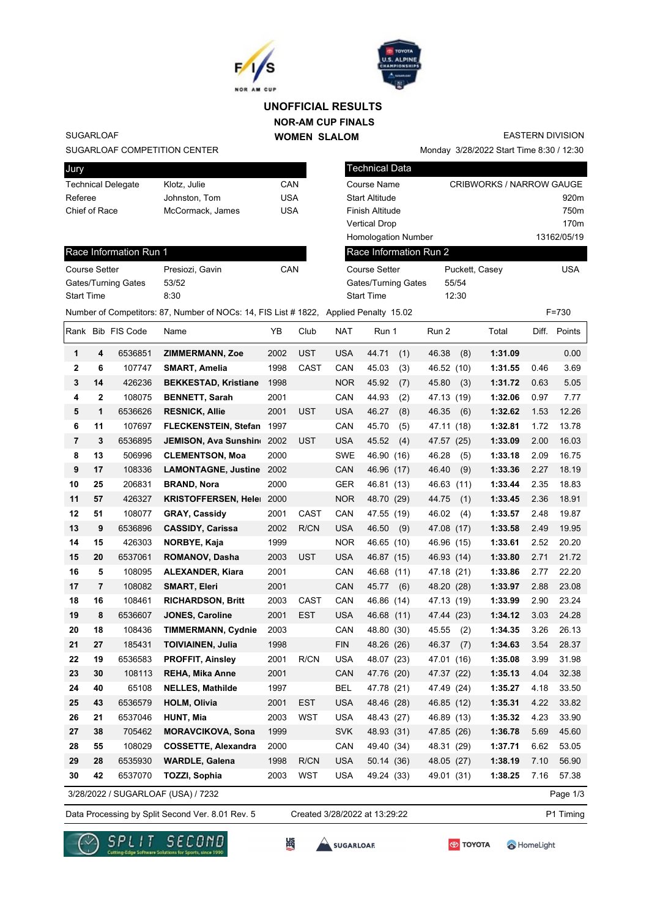



### **NOR-AM CUP FINALS WOMEN SLALOM UNOFFICIAL RESULTS**

SUGARLOAF

Jury

### SUGARLOAF COMPETITION CENTER

Race Information Run 1

Gates/Turning Gates 53/52 Start Time 8:30

| <b>PULLY</b>              |                  |     |
|---------------------------|------------------|-----|
| <b>Technical Delegate</b> | Klotz, Julie     | CAN |
| Referee                   | Johnston, Tom    | USA |
| Chief of Race             | McCormack, James | USA |
|                           |                  |     |

Course Setter Presiozi, Gavin CAN

| Technical Data             |                                 |                  |
|----------------------------|---------------------------------|------------------|
| Course Name                | <b>CRIBWORKS / NARROW GAUGE</b> |                  |
| <b>Start Altitude</b>      |                                 | 920 <sub>m</sub> |
| Finish Altitude            |                                 | 750 <sub>m</sub> |
| Vertical Drop              |                                 | 170 <sub>m</sub> |
| <b>Homologation Number</b> |                                 | 13162/05/19      |
| Race Information Run 2     |                                 |                  |
| <b>Course Setter</b>       | Puckett, Casey                  | USA              |
| Gatee/Turning Gates        | 55/54                           |                  |

Monday 3/28/2022 Start Time 8:30 / 12:30

Gates/Turning Gates 55/54 Start Time 12:30 Number of Competitors: 87, Number of NOCs: 14, FIS List # 1822, Applied Penalty 15.02 F=730

EASTERN DIVISION

|                |                | Rank Bib FIS Code | Name                               | ΥB   | Club        | <b>NAT</b> | Run 1         | Run 2         | Total   |      | Diff. Points |
|----------------|----------------|-------------------|------------------------------------|------|-------------|------------|---------------|---------------|---------|------|--------------|
| 1              | 4              | 6536851           | <b>ZIMMERMANN, Zoe</b>             | 2002 | <b>UST</b>  | <b>USA</b> | 44.71<br>(1)  | 46.38<br>(8)  | 1:31.09 |      | 0.00         |
| $\mathbf{2}$   | 6              | 107747            | SMART, Amelia                      | 1998 | <b>CAST</b> | CAN        | 45.03<br>(3)  | 46.52<br>(10) | 1:31.55 | 0.46 | 3.69         |
| $\mathbf 3$    | 14             | 426236            | <b>BEKKESTAD, Kristiane</b>        | 1998 |             | <b>NOR</b> | 45.92<br>(7)  | 45.80<br>(3)  | 1:31.72 | 0.63 | 5.05         |
| 4              | $\mathbf{2}$   | 108075            | <b>BENNETT, Sarah</b>              | 2001 |             | CAN        | 44.93<br>(2)  | 47.13 (19)    | 1:32.06 | 0.97 | 7.77         |
| 5              | 1              | 6536626           | <b>RESNICK, Allie</b>              | 2001 | UST         | <b>USA</b> | 46.27<br>(8)  | 46.35<br>(6)  | 1:32.62 | 1.53 | 12.26        |
| 6              | 11             | 107697            | <b>FLECKENSTEIN, Stefan</b>        | 1997 |             | CAN        | 45.70<br>(5)  | 47.11<br>(18) | 1:32.81 | 1.72 | 13.78        |
| $\overline{7}$ | 3              | 6536895           | JEMISON, Ava Sunshin               | 2002 | UST         | <b>USA</b> | 45.52<br>(4)  | 47.57 (25)    | 1:33.09 | 2.00 | 16.03        |
| 8              | 13             | 506996            | <b>CLEMENTSON, Moa</b>             | 2000 |             | SWE        | 46.90 (16)    | 46.28<br>(5)  | 1:33.18 | 2.09 | 16.75        |
| 9              | 17             | 108336            | <b>LAMONTAGNE, Justine</b>         | 2002 |             | CAN        | 46.96 (17)    | 46.40<br>(9)  | 1:33.36 | 2.27 | 18.19        |
| 10             | 25             | 206831            | <b>BRAND, Nora</b>                 | 2000 |             | <b>GER</b> | 46.81 (13)    | 46.63<br>(11) | 1:33.44 | 2.35 | 18.83        |
| 11             | 57             | 426327            | <b>KRISTOFFERSEN, Heler</b>        | 2000 |             | <b>NOR</b> | 48.70 (29)    | 44.75<br>(1)  | 1:33.45 | 2.36 | 18.91        |
| 12             | 51             | 108077            | <b>GRAY, Cassidy</b>               | 2001 | <b>CAST</b> | CAN        | 47.55 (19)    | 46.02<br>(4)  | 1:33.57 | 2.48 | 19.87        |
| 13             | 9              | 6536896           | <b>CASSIDY, Carissa</b>            | 2002 | R/CN        | <b>USA</b> | 46.50<br>(9)  | 47.08<br>(17) | 1:33.58 | 2.49 | 19.95        |
| 14             | 15             | 426303            | NORBYE, Kaja                       | 1999 |             | <b>NOR</b> | 46.65 (10)    | 46.96 (15)    | 1:33.61 | 2.52 | 20.20        |
| 15             | 20             | 6537061           | ROMANOV, Dasha                     | 2003 | <b>UST</b>  | <b>USA</b> | 46.87 (15)    | 46.93 (14)    | 1:33.80 | 2.71 | 21.72        |
| 16             | 5              | 108095            | <b>ALEXANDER, Kiara</b>            | 2001 |             | CAN        | 46.68<br>(11) | 47.18<br>(21) | 1:33.86 | 2.77 | 22.20        |
| 17             | $\overline{7}$ | 108082            | <b>SMART, Eleri</b>                | 2001 |             | CAN        | 45.77<br>(6)  | 48.20<br>(28) | 1:33.97 | 2.88 | 23.08        |
| 18             | 16             | 108461            | <b>RICHARDSON, Britt</b>           | 2003 | <b>CAST</b> | CAN        | 46.86 (14)    | 47.13 (19)    | 1:33.99 | 2.90 | 23.24        |
| 19             | 8              | 6536607           | <b>JONES, Caroline</b>             | 2001 | <b>EST</b>  | <b>USA</b> | 46.68 (11)    | 47.44 (23)    | 1:34.12 | 3.03 | 24.28        |
| 20             | 18             | 108436            | <b>TIMMERMANN, Cydnie</b>          | 2003 |             | CAN        | 48.80 (30)    | 45.55<br>(2)  | 1:34.35 | 3.26 | 26.13        |
| 21             | 27             | 185431            | <b>TOIVIAINEN, Julia</b>           | 1998 |             | <b>FIN</b> | 48.26 (26)    | 46.37<br>(7)  | 1:34.63 | 3.54 | 28.37        |
| 22             | 19             | 6536583           | <b>PROFFIT, Ainsley</b>            | 2001 | R/CN        | <b>USA</b> | 48.07 (23)    | 47.01 (16)    | 1:35.08 | 3.99 | 31.98        |
| 23             | 30             | 108113            | REHA, Mika Anne                    | 2001 |             | CAN        | 47.76 (20)    | 47.37 (22)    | 1:35.13 | 4.04 | 32.38        |
| 24             | 40             | 65108             | <b>NELLES, Mathilde</b>            | 1997 |             | <b>BEL</b> | 47.78 (21)    | 47.49<br>(24) | 1:35.27 | 4.18 | 33.50        |
| 25             | 43             | 6536579           | <b>HOLM, Olivia</b>                | 2001 | <b>EST</b>  | <b>USA</b> | 48.46 (28)    | 46.85 (12)    | 1:35.31 | 4.22 | 33.82        |
| 26             | 21             | 6537046           | <b>HUNT, Mia</b>                   | 2003 | WST         | <b>USA</b> | 48.43 (27)    | 46.89 (13)    | 1:35.32 | 4.23 | 33.90        |
| 27             | 38             | 705462            | <b>MORAVCIKOVA, Sona</b>           | 1999 |             | <b>SVK</b> | 48.93 (31)    | 47.85 (26)    | 1:36.78 | 5.69 | 45.60        |
| 28             | 55             | 108029            | <b>COSSETTE, Alexandra</b>         | 2000 |             | CAN        | 49.40 (34)    | 48.31 (29)    | 1:37.71 | 6.62 | 53.05        |
| 29             | 28             | 6535930           | <b>WARDLE, Galena</b>              | 1998 | R/CN        | <b>USA</b> | 50.14 (36)    | 48.05 (27)    | 1:38.19 | 7.10 | 56.90        |
| 30             | 42             | 6537070           | TOZZI, Sophia                      | 2003 | <b>WST</b>  | <b>USA</b> | 49.24 (33)    | 49.01 (31)    | 1:38.25 | 7.16 | 57.38        |
|                |                |                   | 3/28/2022 / SUGARLOAF (USA) / 7232 |      |             |            |               |               |         |      | Page 1/3     |

Data Processing by Split Second Ver. 8.01 Rev. 5 Created 3/28/2022 at 13:29:22 P1 Timing

Created 3/28/2022 at 13:29:22







SUGARLOAF



HomeLight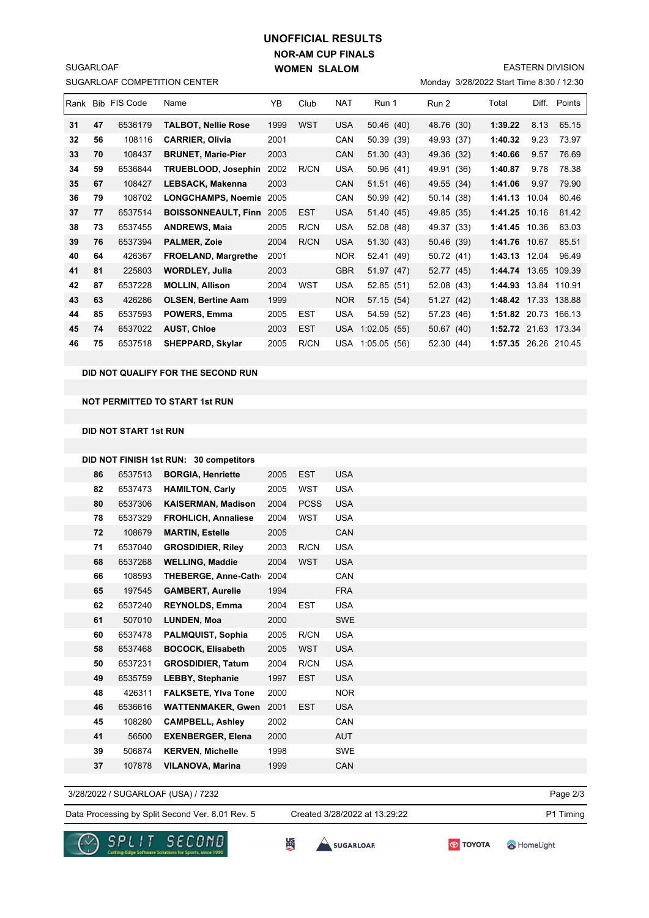# **NOR-AM CUP FINALS WOMEN SLALOM UNOFFICIAL RESULTS**

EASTERN DIVISION

Monday 3/28/2022 Start Time 8:30 / 12:30

|    |    | Rank Bib FIS Code | Name                       | YB   | Club       | <b>NAT</b> | Run 1           | Run 2      | Total                | Diff. | Points       |
|----|----|-------------------|----------------------------|------|------------|------------|-----------------|------------|----------------------|-------|--------------|
| 31 | 47 | 6536179           | TALBOT, Nellie Rose        | 1999 | <b>WST</b> | <b>USA</b> | 50.46 (40)      | 48.76 (30) | 1:39.22              | 8.13  | 65.15        |
| 32 | 56 | 108116            | <b>CARRIER, Olivia</b>     | 2001 |            | CAN        | 50.39 (39)      | 49.93 (37) | 1:40.32              | 9.23  | 73.97        |
| 33 | 70 | 108437            | <b>BRUNET, Marie-Pier</b>  | 2003 |            | CAN        | 51.30 (43)      | 49.36 (32) | 1:40.66              | 9.57  | 76.69        |
| 34 | 59 | 6536844           | TRUEBLOOD, Josephin        | 2002 | R/CN       | <b>USA</b> | 50.96 (41)      | 49.91 (36) | 1:40.87              | 9.78  | 78.38        |
| 35 | 67 | 108427            | LEBSACK, Makenna           | 2003 |            | CAN        | 51.51 (46)      | 49.55 (34) | 1:41.06              | 9.97  | 79.90        |
| 36 | 79 | 108702            | <b>LONGCHAMPS, Noemic</b>  | 2005 |            | CAN        | 50.99 (42)      | 50.14 (38) | 1:41.13              | 10.04 | 80.46        |
| 37 | 77 | 6537514           | <b>BOISSONNEAULT, Finn</b> | 2005 | <b>EST</b> | <b>USA</b> | 51.40 (45)      | 49.85 (35) | 1:41.25 10.16        |       | 81.42        |
| 38 | 73 | 6537455           | <b>ANDREWS, Maia</b>       | 2005 | R/CN       | <b>USA</b> | 52.08 (48)      | 49.37 (33) | 1:41.45 10.36        |       | 83.03        |
| 39 | 76 | 6537394           | <b>PALMER, Zoie</b>        | 2004 | R/CN       | <b>USA</b> | 51.30(43)       | 50.46 (39) | 1:41.76 10.67        |       | 85.51        |
| 40 | 64 | 426367            | <b>FROELAND, Margrethe</b> | 2001 |            | <b>NOR</b> | 52.41 (49)      | 50.72 (41) | 1:43.13 12.04        |       | 96.49        |
| 41 | 81 | 225803            | <b>WORDLEY, Julia</b>      | 2003 |            | <b>GBR</b> | 51.97 (47)      | 52.77 (45) | 1:44.74 13.65        |       | 109.39       |
| 42 | 87 | 6537228           | <b>MOLLIN, Allison</b>     | 2004 | <b>WST</b> | <b>USA</b> | 52.85 (51)      | 52.08 (43) | 1:44.93              | 13.84 | 110.91       |
| 43 | 63 | 426286            | <b>OLSEN, Bertine Aam</b>  | 1999 |            | <b>NOR</b> | 57.15 (54)      | 51.27 (42) | 1:48.42              |       | 17.33 138.88 |
| 44 | 85 | 6537593           | POWERS, Emma               | 2005 | <b>EST</b> | <b>USA</b> | 54.59 (52)      | 57.23 (46) | 1:51.82              | 20.73 | 166.13       |
| 45 | 74 | 6537022           | <b>AUST, Chloe</b>         | 2003 | <b>EST</b> | <b>USA</b> | 1:02.05(55)     | 50.67 (40) | 1:52.72 21.63 173.34 |       |              |
| 46 | 75 | 6537518           | <b>SHEPPARD, Skylar</b>    | 2005 | R/CN       | USA        | 1:05.05<br>(56) | 52.30 (44) | 1:57.35 26.26 210.45 |       |              |

#### **DID NOT QUALIFY FOR THE SECOND RUN**

### **NOT PERMITTED TO START 1st RUN**

#### **DID NOT START 1st RUN**

SUGARLOAF COMPETITION CENTER

SUGARLOAF

|    |         | DID NOT FINISH 1st RUN: 30 competitors |      |             |            |
|----|---------|----------------------------------------|------|-------------|------------|
| 86 | 6537513 | <b>BORGIA, Henriette</b>               | 2005 | <b>EST</b>  | <b>USA</b> |
| 82 | 6537473 | <b>HAMILTON, Carly</b>                 | 2005 | WST         | <b>USA</b> |
| 80 | 6537306 | <b>KAISERMAN, Madison</b>              | 2004 | <b>PCSS</b> | <b>USA</b> |
| 78 | 6537329 | <b>FROHLICH, Annaliese</b>             | 2004 | <b>WST</b>  | <b>USA</b> |
| 72 | 108679  | <b>MARTIN, Estelle</b>                 | 2005 |             | CAN        |
| 71 | 6537040 | <b>GROSDIDIER, Riley</b>               | 2003 | R/CN        | <b>USA</b> |
| 68 | 6537268 | <b>WELLING, Maddie</b>                 | 2004 | <b>WST</b>  | <b>USA</b> |
| 66 | 108593  | <b>THEBERGE, Anne-Cath</b>             | 2004 |             | CAN        |
| 65 | 197545  | <b>GAMBERT, Aurelie</b>                | 1994 |             | <b>FRA</b> |
| 62 | 6537240 | <b>REYNOLDS, Emma</b>                  | 2004 | <b>EST</b>  | <b>USA</b> |
| 61 | 507010  | <b>LUNDEN, Moa</b>                     | 2000 |             | <b>SWE</b> |
| 60 | 6537478 | <b>PALMQUIST, Sophia</b>               | 2005 | R/CN        | <b>USA</b> |
| 58 | 6537468 | <b>BOCOCK, Elisabeth</b>               | 2005 | <b>WST</b>  | <b>USA</b> |
| 50 | 6537231 | <b>GROSDIDIER, Tatum</b>               | 2004 | R/CN        | <b>USA</b> |
| 49 | 6535759 | <b>LEBBY, Stephanie</b>                | 1997 | <b>EST</b>  | <b>USA</b> |
| 48 | 426311  | <b>FALKSETE, Ylva Tone</b>             | 2000 |             | <b>NOR</b> |
| 46 | 6536616 | <b>WATTENMAKER, Gwen</b>               | 2001 | <b>EST</b>  | <b>USA</b> |
| 45 | 108280  | <b>CAMPBELL, Ashley</b>                | 2002 |             | CAN        |
| 41 | 56500   | <b>EXENBERGER, Elena</b>               | 2000 |             | <b>AUT</b> |
| 39 | 506874  | <b>KERVEN, Michelle</b>                | 1998 |             | SWE        |
| 37 | 107878  | <b>VILANOVA, Marina</b>                | 1999 |             | <b>CAN</b> |
|    |         |                                        |      |             |            |

3/28/2022 / SUGARLOAF (USA) / 7232

Data Processing by Split Second Ver. 8.01 Rev. 5 Created 3/28/2022 at 13:29:22 P1 Timing

Created 3/28/2022 at 13:29:22





**SER**